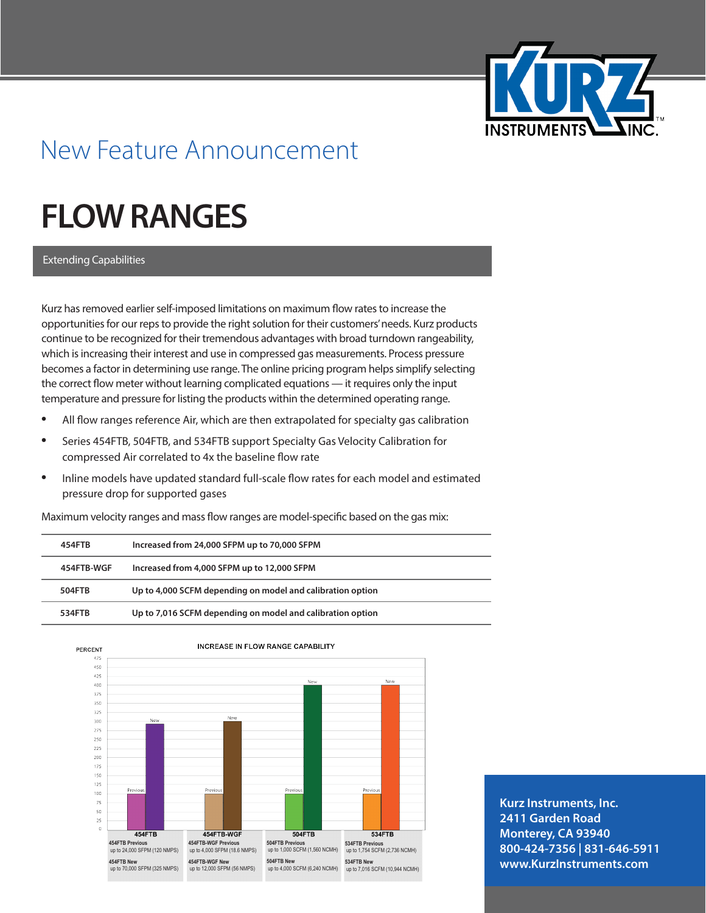

## New Feature Announcement

## **FLOW RANGES**

Extending Capabilities

Kurz has removed earlier self-imposed limitations on maximum flow rates to increase the opportunities for our reps to provide the right solution for their customers' needs. Kurz products continue to be recognized for their tremendous advantages with broad turndown rangeability, which is increasing their interest and use in compressed gas measurements. Process pressure becomes a factor in determining use range. The online pricing program helps simplify selecting the correct flow meter without learning complicated equations — it requires only the input temperature and pressure for listing the products within the determined operating range.

- **•**  All flow ranges reference Air, which are then extrapolated for specialty gas calibration
- Series 454FTB, 504FTB, and 534FTB support Specialty Gas Velocity Calibration for compressed Air correlated to 4x the baseline flow rate
- **•**  Inline models have updated standard full-scale flow rates for each model and estimated pressure drop for supported gases

| 454FTB     | Increased from 24,000 SFPM up to 70,000 SFPM               |
|------------|------------------------------------------------------------|
| 454FTB-WGF | Increased from 4,000 SFPM up to 12,000 SFPM                |
| 504FTB     | Up to 4,000 SCFM depending on model and calibration option |
| 534FTB     | Up to 7,016 SCFM depending on model and calibration option |

Maximum velocity ranges and mass flow ranges are model-specific based on the gas mix:



**Kurz Instruments, Inc. 2411 Garden Road Monterey, CA 93940 800-424-7356 | 831-646-5911 www.KurzInstruments.com**